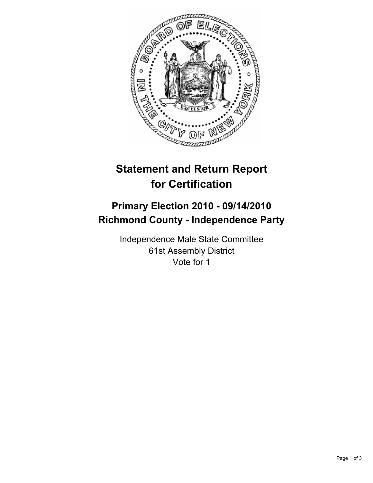

## **Statement and Return Report for Certification**

## **Primary Election 2010 - 09/14/2010 Richmond County - Independence Party**

Independence Male State Committee 61st Assembly District Vote for 1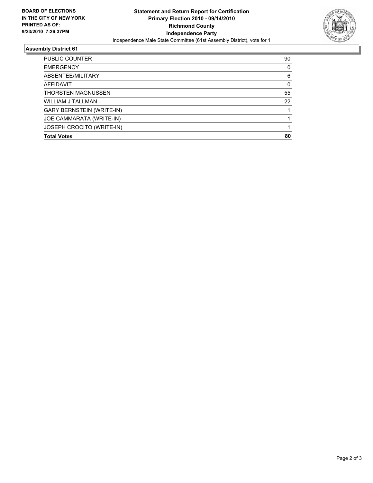

## **Assembly District 61**

| <b>PUBLIC COUNTER</b>            | 90 |
|----------------------------------|----|
| <b>EMERGENCY</b>                 | 0  |
| ABSENTEE/MILITARY                | 6  |
| <b>AFFIDAVIT</b>                 | 0  |
| <b>THORSTEN MAGNUSSEN</b>        | 55 |
| <b>WILLIAM J TALLMAN</b>         | 22 |
| <b>GARY BERNSTEIN (WRITE-IN)</b> |    |
| JOE CAMMARATA (WRITE-IN)         |    |
| JOSEPH CROCITO (WRITE-IN)        |    |
| <b>Total Votes</b>               | 80 |
|                                  |    |